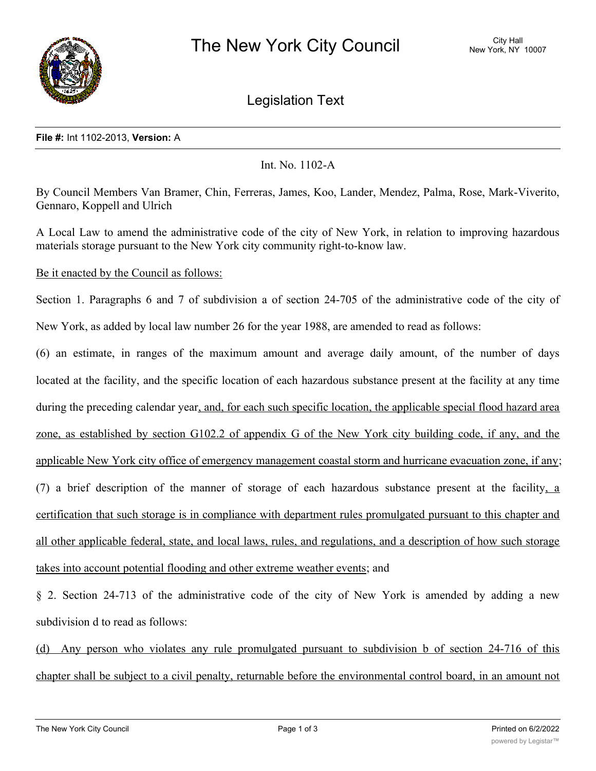

Legislation Text

## **File #:** Int 1102-2013, **Version:** A

Int. No. 1102-A

By Council Members Van Bramer, Chin, Ferreras, James, Koo, Lander, Mendez, Palma, Rose, Mark-Viverito, Gennaro, Koppell and Ulrich

A Local Law to amend the administrative code of the city of New York, in relation to improving hazardous materials storage pursuant to the New York city community right-to-know law.

Be it enacted by the Council as follows:

Section 1. Paragraphs 6 and 7 of subdivision a of section 24-705 of the administrative code of the city of New York, as added by local law number 26 for the year 1988, are amended to read as follows:

(6) an estimate, in ranges of the maximum amount and average daily amount, of the number of days located at the facility, and the specific location of each hazardous substance present at the facility at any time during the preceding calendar year, and, for each such specific location, the applicable special flood hazard area zone, as established by section G102.2 of appendix G of the New York city building code, if any, and the applicable New York city office of emergency management coastal storm and hurricane evacuation zone, if any; (7) a brief description of the manner of storage of each hazardous substance present at the facility, a certification that such storage is in compliance with department rules promulgated pursuant to this chapter and all other applicable federal, state, and local laws, rules, and regulations, and a description of how such storage takes into account potential flooding and other extreme weather events; and

§ 2. Section 24-713 of the administrative code of the city of New York is amended by adding a new subdivision d to read as follows:

(d) Any person who violates any rule promulgated pursuant to subdivision b of section 24-716 of this chapter shall be subject to a civil penalty, returnable before the environmental control board, in an amount not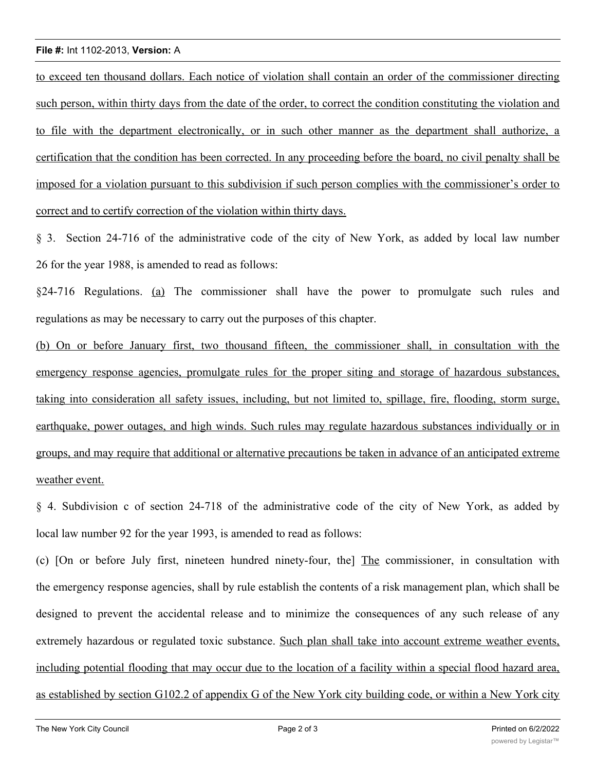## **File #:** Int 1102-2013, **Version:** A

to exceed ten thousand dollars. Each notice of violation shall contain an order of the commissioner directing such person, within thirty days from the date of the order, to correct the condition constituting the violation and to file with the department electronically, or in such other manner as the department shall authorize, a certification that the condition has been corrected. In any proceeding before the board, no civil penalty shall be imposed for a violation pursuant to this subdivision if such person complies with the commissioner's order to correct and to certify correction of the violation within thirty days.

§ 3. Section 24-716 of the administrative code of the city of New York, as added by local law number 26 for the year 1988, is amended to read as follows:

§24-716 Regulations. (a) The commissioner shall have the power to promulgate such rules and regulations as may be necessary to carry out the purposes of this chapter.

(b) On or before January first, two thousand fifteen, the commissioner shall, in consultation with the emergency response agencies, promulgate rules for the proper siting and storage of hazardous substances, taking into consideration all safety issues, including, but not limited to, spillage, fire, flooding, storm surge, earthquake, power outages, and high winds. Such rules may regulate hazardous substances individually or in groups, and may require that additional or alternative precautions be taken in advance of an anticipated extreme weather event.

§ 4. Subdivision c of section 24-718 of the administrative code of the city of New York, as added by local law number 92 for the year 1993, is amended to read as follows:

(c) [On or before July first, nineteen hundred ninety-four, the] The commissioner, in consultation with the emergency response agencies, shall by rule establish the contents of a risk management plan, which shall be designed to prevent the accidental release and to minimize the consequences of any such release of any extremely hazardous or regulated toxic substance. Such plan shall take into account extreme weather events, including potential flooding that may occur due to the location of a facility within a special flood hazard area, as established by section G102.2 of appendix G of the New York city building code, or within a New York city